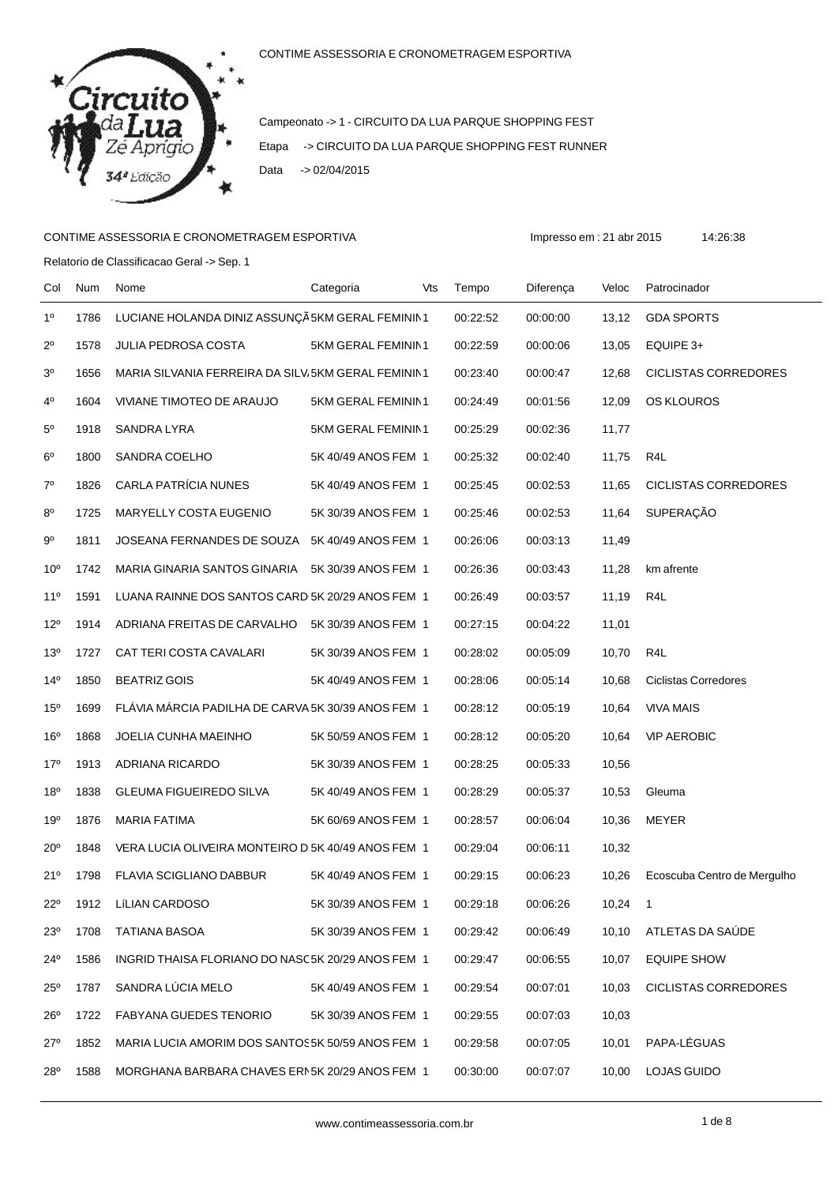

Campeonato -> 1 - CIRCUITO DA LUA PARQUE SHOPPING FEST Etapa -> CIRCUITO DA LUA PARQUE SHOPPING FEST RUNNER Data -> 02/04/2015

## CONTIME ASSESSORIA E CRONOMETRAGEM ESPORTIVA impresso em : 21 abr 2015 14:26:38

Relatorio de Classificacao Geral -> Sep. 1

| Col             | Num  | Nome                                                | Categoria           | Vts | Tempo    | Diferença | Veloc | Patrocinador                |
|-----------------|------|-----------------------------------------------------|---------------------|-----|----------|-----------|-------|-----------------------------|
| 1 <sup>0</sup>  | 1786 | LUCIANE HOLANDA DINIZ ASSUNÇÃ 5KM GERAL FEMININ1    |                     |     | 00:22:52 | 00:00:00  | 13,12 | <b>GDA SPORTS</b>           |
| $2^{\circ}$     | 1578 | <b>JULIA PEDROSA COSTA</b>                          | 5KM GERAL FEMININ1  |     | 00:22:59 | 00:00:06  | 13,05 | EQUIPE 3+                   |
| 3 <sup>o</sup>  | 1656 | MARIA SILVANIA FERREIRA DA SILV; 5KM GERAL FEMININ1 |                     |     | 00:23:40 | 00:00:47  | 12,68 | CICLISTAS CORREDORES        |
| $4^{\circ}$     | 1604 | VIVIANE TIMOTEO DE ARAUJO                           | 5KM GERAL FEMININ1  |     | 00:24:49 | 00:01:56  | 12,09 | <b>OS KLOUROS</b>           |
| $5^{\circ}$     | 1918 | SANDRA LYRA                                         | 5KM GERAL FEMININ1  |     | 00:25:29 | 00:02:36  | 11,77 |                             |
| $6^{\circ}$     | 1800 | SANDRA COELHO                                       | 5K 40/49 ANOS FEM 1 |     | 00:25:32 | 00:02:40  | 11,75 | R4L                         |
| $7^{\circ}$     | 1826 | <b>CARLA PATRÍCIA NUNES</b>                         | 5K 40/49 ANOS FEM 1 |     | 00:25:45 | 00:02:53  | 11,65 | <b>CICLISTAS CORREDORES</b> |
| $8^{\circ}$     | 1725 | MARYELLY COSTA EUGENIO                              | 5K 30/39 ANOS FEM 1 |     | 00:25:46 | 00:02:53  | 11,64 | <b>SUPERAÇÃO</b>            |
| 90              | 1811 | JOSEANA FERNANDES DE SOUZA 5K 40/49 ANOS FEM 1      |                     |     | 00:26:06 | 00:03:13  | 11,49 |                             |
| 10 <sup>o</sup> | 1742 | MARIA GINARIA SANTOS GINARIA                        | 5K 30/39 ANOS FEM 1 |     | 00:26:36 | 00:03:43  | 11,28 | km afrente                  |
| $11^{\circ}$    | 1591 | LUANA RAINNE DOS SANTOS CARD 5K 20/29 ANOS FEM 1    |                     |     | 00:26:49 | 00:03:57  | 11,19 | R4L                         |
| $12^{\circ}$    | 1914 | ADRIANA FREITAS DE CARVALHO                         | 5K 30/39 ANOS FEM 1 |     | 00:27:15 | 00:04:22  | 11,01 |                             |
| 13 <sup>0</sup> | 1727 | CAT TERI COSTA CAVALARI                             | 5K 30/39 ANOS FEM 1 |     | 00:28:02 | 00:05:09  | 10,70 | R4L                         |
| 14 <sup>°</sup> | 1850 | <b>BEATRIZ GOIS</b>                                 | 5K 40/49 ANOS FEM 1 |     | 00:28:06 | 00:05:14  | 10,68 | <b>Ciclistas Corredores</b> |
| 15 <sup>o</sup> | 1699 | FLÁVIA MÁRCIA PADILHA DE CARVA 5K 30/39 ANOS FEM 1  |                     |     | 00:28:12 | 00:05:19  | 10,64 | <b>VIVA MAIS</b>            |
| 16 <sup>o</sup> | 1868 | JOELIA CUNHA MAEINHO                                | 5K 50/59 ANOS FEM 1 |     | 00:28:12 | 00:05:20  | 10,64 | <b>VIP AEROBIC</b>          |
| 17 <sup>0</sup> | 1913 | ADRIANA RICARDO                                     | 5K 30/39 ANOS FEM 1 |     | 00:28:25 | 00:05:33  | 10,56 |                             |
| 18 <sup>o</sup> | 1838 | <b>GLEUMA FIGUEIREDO SILVA</b>                      | 5K 40/49 ANOS FEM 1 |     | 00:28:29 | 00:05:37  | 10,53 | Gleuma                      |
| 19°             | 1876 | <b>MARIA FATIMA</b>                                 | 5K 60/69 ANOS FEM 1 |     | 00:28:57 | 00:06:04  | 10,36 | MEYER                       |
| $20^{\circ}$    | 1848 | VERA LUCIA OLIVEIRA MONTEIRO D 5K 40/49 ANOS FEM 1  |                     |     | 00:29:04 | 00:06:11  | 10,32 |                             |
| 21°             | 1798 | FLAVIA SCIGLIANO DABBUR                             | 5K 40/49 ANOS FEM 1 |     | 00:29:15 | 00:06:23  | 10,26 | Ecoscuba Centro de Mergulho |
| $22^{\circ}$    | 1912 | <b>LÍLIAN CARDOSO</b>                               | 5K 30/39 ANOS FEM 1 |     | 00:29:18 | 00:06:26  | 10,24 | $\mathbf{1}$                |
| $23^{\circ}$    | 1708 | TATIANA BASOA                                       | 5K 30/39 ANOS FEM 1 |     | 00:29:42 | 00:06:49  | 10,10 | ATLETAS DA SAUDE            |
| 24°             | 1586 | INGRID THAISA FLORIANO DO NASC5K 20/29 ANOS FEM 1   |                     |     | 00:29:47 | 00:06:55  | 10,07 | <b>EQUIPE SHOW</b>          |
| $25^{\circ}$    | 1787 | SANDRA LÚCIA MELO                                   | 5K 40/49 ANOS FEM 1 |     | 00:29:54 | 00:07:01  | 10,03 | CICLISTAS CORREDORES        |
| 26°             | 1722 | <b>FABYANA GUEDES TENORIO</b>                       | 5K 30/39 ANOS FEM 1 |     | 00:29:55 | 00:07:03  | 10,03 |                             |
| 27°             | 1852 | MARIA LUCIA AMORIM DOS SANTOS5K 50/59 ANOS FEM 1    |                     |     | 00:29:58 | 00:07:05  | 10,01 | PAPA-LÉGUAS                 |
| 28°             | 1588 | MORGHANA BARBARA CHAVES ERN5K 20/29 ANOS FEM 1      |                     |     | 00:30:00 | 00:07:07  | 10,00 | <b>LOJAS GUIDO</b>          |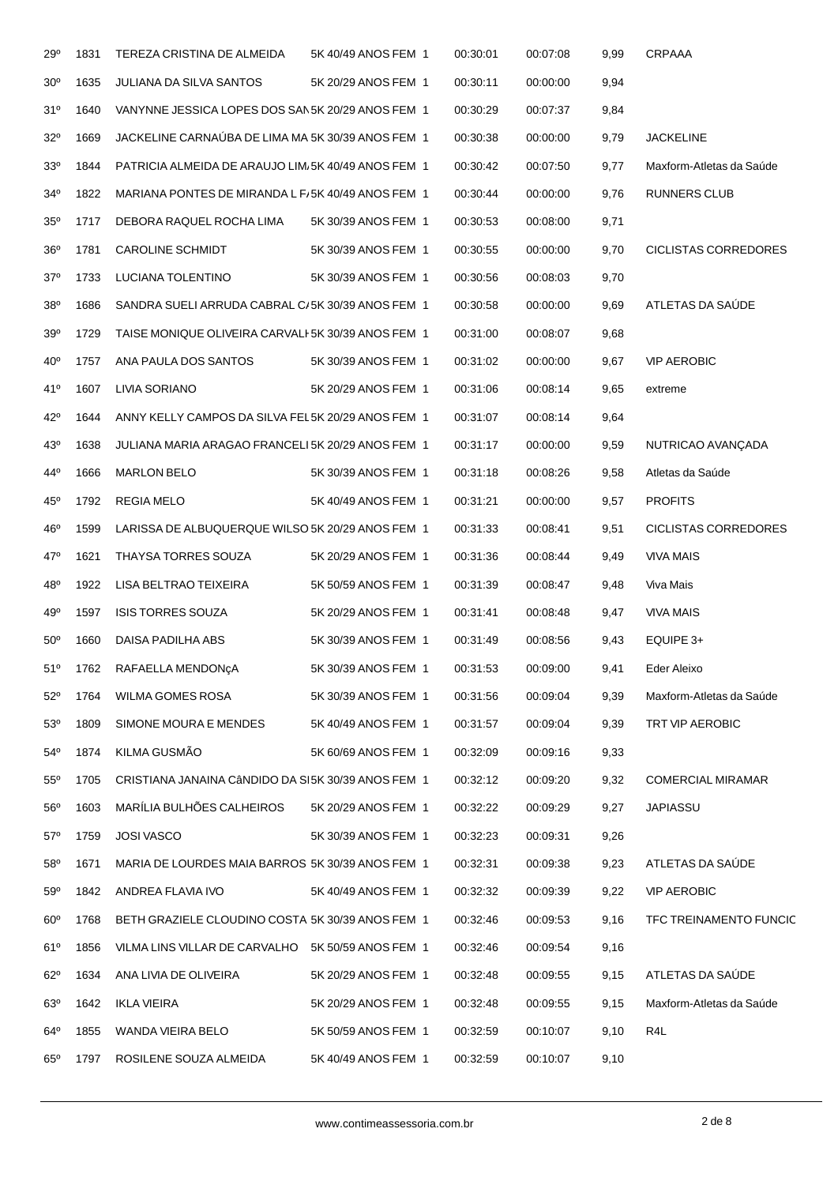| 29°             | 1831 | TEREZA CRISTINA DE ALMEIDA                         | 5K 40/49 ANOS FEM 1 | 00:30:01 | 00:07:08 | 9,99 | CRPAAA                      |
|-----------------|------|----------------------------------------------------|---------------------|----------|----------|------|-----------------------------|
| 30 <sup>o</sup> | 1635 | <b>JULIANA DA SILVA SANTOS</b>                     | 5K 20/29 ANOS FEM 1 | 00:30:11 | 00:00:00 | 9,94 |                             |
| 31°             | 1640 | VANYNNE JESSICA LOPES DOS SAN5K 20/29 ANOS FEM 1   |                     | 00:30:29 | 00:07:37 | 9,84 |                             |
| $32^{\circ}$    | 1669 | JACKELINE CARNAÚBA DE LIMA MA 5K 30/39 ANOS FEM 1  |                     | 00:30:38 | 00:00:00 | 9,79 | <b>JACKELINE</b>            |
| 33 <sup>0</sup> | 1844 | PATRICIA ALMEIDA DE ARAUJO LIM/5K 40/49 ANOS FEM 1 |                     | 00:30:42 | 00:07:50 | 9,77 | Maxform-Atletas da Saúde    |
| $34^{\circ}$    | 1822 | MARIANA PONTES DE MIRANDA L F/5K 40/49 ANOS FEM 1  |                     | 00:30:44 | 00:00:00 | 9,76 | <b>RUNNERS CLUB</b>         |
| $35^\circ$      | 1717 | DEBORA RAQUEL ROCHA LIMA                           | 5K 30/39 ANOS FEM 1 | 00:30:53 | 00:08:00 | 9,71 |                             |
| $36^{\rm o}$    | 1781 | <b>CAROLINE SCHMIDT</b>                            | 5K 30/39 ANOS FEM 1 | 00:30:55 | 00:00:00 | 9,70 | <b>CICLISTAS CORREDORES</b> |
| $37^\circ$      | 1733 | LUCIANA TOLENTINO                                  | 5K 30/39 ANOS FEM 1 | 00:30:56 | 00:08:03 | 9,70 |                             |
| 38°             | 1686 | SANDRA SUELI ARRUDA CABRAL C/5K 30/39 ANOS FEM 1   |                     | 00:30:58 | 00:00:00 | 9,69 | ATLETAS DA SAÚDE            |
| 39 <sup>o</sup> | 1729 | TAISE MONIQUE OLIVEIRA CARVALI-5K 30/39 ANOS FEM 1 |                     | 00:31:00 | 00:08:07 | 9,68 |                             |
| 40 <sup>o</sup> | 1757 | ANA PAULA DOS SANTOS                               | 5K 30/39 ANOS FEM 1 | 00:31:02 | 00:00:00 | 9,67 | <b>VIP AEROBIC</b>          |
| 41°             | 1607 | LIVIA SORIANO                                      | 5K 20/29 ANOS FEM 1 | 00:31:06 | 00:08:14 | 9,65 | extreme                     |
| 42°             | 1644 | ANNY KELLY CAMPOS DA SILVA FEL5K 20/29 ANOS FEM 1  |                     | 00:31:07 | 00:08:14 | 9,64 |                             |
| 43°             | 1638 | JULIANA MARIA ARAGAO FRANCELI 5K 20/29 ANOS FEM 1  |                     | 00:31:17 | 00:00:00 | 9,59 | NUTRICAO AVANÇADA           |
| $44^{\circ}$    | 1666 | <b>MARLON BELO</b>                                 | 5K 30/39 ANOS FEM 1 | 00:31:18 | 00:08:26 | 9,58 | Atletas da Saúde            |
| $45^{\circ}$    | 1792 | <b>REGIA MELO</b>                                  | 5K 40/49 ANOS FEM 1 | 00:31:21 | 00:00:00 | 9,57 | <b>PROFITS</b>              |
| 46°             | 1599 | LARISSA DE ALBUQUERQUE WILSO 5K 20/29 ANOS FEM 1   |                     | 00:31:33 | 00:08:41 | 9,51 | <b>CICLISTAS CORREDORES</b> |
| 47°             | 1621 | THAYSA TORRES SOUZA                                | 5K 20/29 ANOS FEM 1 | 00:31:36 | 00:08:44 | 9,49 | <b>VIVA MAIS</b>            |
| 48°             | 1922 | LISA BELTRAO TEIXEIRA                              | 5K 50/59 ANOS FEM 1 | 00:31:39 | 00:08:47 | 9,48 | Viva Mais                   |
| $49^{\rm o}$    | 1597 | <b>ISIS TORRES SOUZA</b>                           | 5K 20/29 ANOS FEM 1 | 00:31:41 | 00:08:48 | 9,47 | <b>VIVA MAIS</b>            |
| $50^\circ$      | 1660 | DAISA PADILHA ABS                                  | 5K 30/39 ANOS FEM 1 | 00:31:49 | 00:08:56 | 9,43 | EQUIPE 3+                   |
| 51°             | 1762 | RAFAELLA MENDONÇA                                  | 5K 30/39 ANOS FEM 1 | 00:31:53 | 00:09:00 | 9,41 | Eder Aleixo                 |
| $52^{\circ}$    | 1764 | WILMA GOMES ROSA                                   | 5K 30/39 ANOS FEM 1 | 00:31:56 | 00:09:04 | 9,39 | Maxform-Atletas da Saúde    |
| 53 <sup>o</sup> | 1809 | SIMONE MOURA E MENDES                              | 5K 40/49 ANOS FEM 1 | 00:31:57 | 00:09:04 | 9,39 | TRT VIP AEROBIC             |
| $54^{\circ}$    | 1874 | KILMA GUSMÃO                                       | 5K 60/69 ANOS FEM 1 | 00:32:09 | 00:09:16 | 9,33 |                             |
| $55^{\circ}$    | 1705 | CRISTIANA JANAINA CÂNDIDO DA SI5K 30/39 ANOS FEM 1 |                     | 00:32:12 | 00:09:20 | 9,32 | <b>COMERCIAL MIRAMAR</b>    |
| $56^{\circ}$    | 1603 | MARÍLIA BULHÕES CALHEIROS                          | 5K 20/29 ANOS FEM 1 | 00:32:22 | 00:09:29 | 9,27 | JAPIASSU                    |
| $57^\circ$      | 1759 | <b>JOSI VASCO</b>                                  | 5K 30/39 ANOS FEM 1 | 00:32:23 | 00:09:31 | 9,26 |                             |
| $58^{\circ}$    | 1671 | MARIA DE LOURDES MAIA BARROS 5K 30/39 ANOS FEM 1   |                     | 00:32:31 | 00:09:38 | 9,23 | ATLETAS DA SAÚDE            |
| 59°             | 1842 | ANDREA FLAVIA IVO                                  | 5K 40/49 ANOS FEM 1 | 00:32:32 | 00:09:39 | 9,22 | <b>VIP AEROBIC</b>          |
| 60 <sup>o</sup> | 1768 | BETH GRAZIELE CLOUDINO COSTA 5K 30/39 ANOS FEM 1   |                     | 00:32:46 | 00:09:53 | 9,16 | TFC TREINAMENTO FUNCIC      |
| 61°             | 1856 | VILMA LINS VILLAR DE CARVALHO 5K 50/59 ANOS FEM 1  |                     | 00:32:46 | 00:09:54 | 9,16 |                             |
| $62^{\circ}$    | 1634 | ANA LIVIA DE OLIVEIRA                              | 5K 20/29 ANOS FEM 1 | 00:32:48 | 00:09:55 | 9,15 | ATLETAS DA SAUDE            |
| $63^\circ$      | 1642 | <b>IKLA VIEIRA</b>                                 | 5K 20/29 ANOS FEM 1 | 00:32:48 | 00:09:55 | 9,15 | Maxform-Atletas da Saúde    |
| $64^{\circ}$    | 1855 | WANDA VIEIRA BELO                                  | 5K 50/59 ANOS FEM 1 | 00:32:59 | 00:10:07 | 9,10 | R4L                         |
| $65^{\circ}$    | 1797 | ROSILENE SOUZA ALMEIDA                             | 5K 40/49 ANOS FEM_1 | 00:32:59 | 00:10:07 | 9,10 |                             |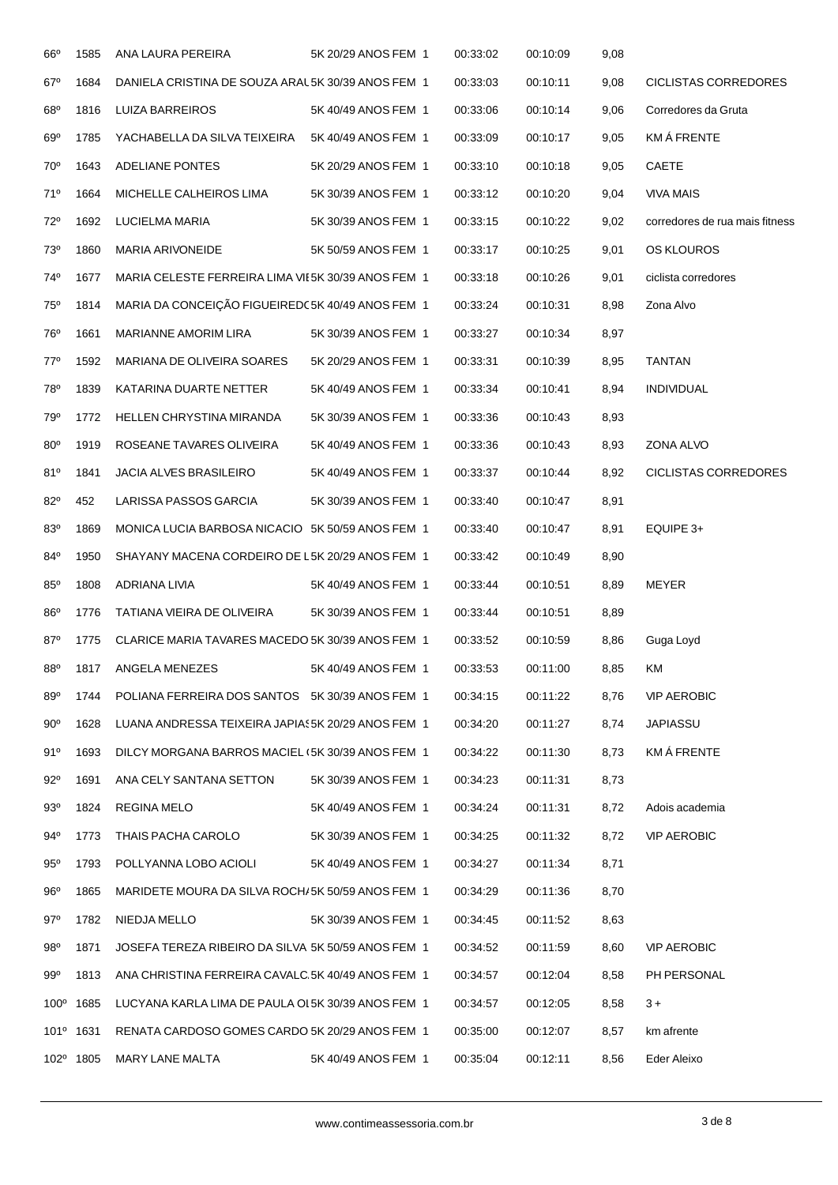| $66^{\circ}$    | 1585                  | ANA LAURA PEREIRA                                  | 5K 20/29 ANOS FEM 1 | 00:33:02 | 00:10:09 | 9,08 |                                |
|-----------------|-----------------------|----------------------------------------------------|---------------------|----------|----------|------|--------------------------------|
| $67^\circ$      | 1684                  | DANIELA CRISTINA DE SOUZA ARAL 5K 30/39 ANOS FEM 1 |                     | 00:33:03 | 00:10:11 | 9,08 | <b>CICLISTAS CORREDORES</b>    |
| $68^{\circ}$    | 1816                  | LUIZA BARREIROS                                    | 5K 40/49 ANOS FEM 1 | 00:33:06 | 00:10:14 | 9,06 | Corredores da Gruta            |
| 69°             | 1785                  | YACHABELLA DA SILVA TEIXEIRA                       | 5K 40/49 ANOS FEM 1 | 00:33:09 | 00:10:17 | 9,05 | <b>KMÁ FRENTE</b>              |
| $70^{\circ}$    | 1643                  | <b>ADELIANE PONTES</b>                             | 5K 20/29 ANOS FEM 1 | 00:33:10 | 00:10:18 | 9,05 | <b>CAETE</b>                   |
| 71°             | 1664                  | MICHELLE CALHEIROS LIMA                            | 5K 30/39 ANOS FEM 1 | 00:33:12 | 00:10:20 | 9,04 | <b>VIVA MAIS</b>               |
| $72^{\circ}$    | 1692                  | LUCIELMA MARIA                                     | 5K 30/39 ANOS FEM 1 | 00:33:15 | 00:10:22 | 9,02 | corredores de rua mais fitness |
| 73°             | 1860                  | <b>MARIA ARIVONEIDE</b>                            | 5K 50/59 ANOS FEM 1 | 00:33:17 | 00:10:25 | 9,01 | OS KLOUROS                     |
| 74°             | 1677                  | MARIA CELESTE FERREIRA LIMA VIE5K 30/39 ANOS FEM 1 |                     | 00:33:18 | 00:10:26 | 9,01 | ciclista corredores            |
| 75°             | 1814                  | MARIA DA CONCEIÇÃO FIGUEIREDC5K 40/49 ANOS FEM 1   |                     | 00:33:24 | 00:10:31 | 8,98 | Zona Alvo                      |
| 76°             | 1661                  | <b>MARIANNE AMORIM LIRA</b>                        | 5K 30/39 ANOS FEM 1 | 00:33:27 | 00:10:34 | 8,97 |                                |
| $77^{\circ}$    | 1592                  | MARIANA DE OLIVEIRA SOARES                         | 5K 20/29 ANOS FEM 1 | 00:33:31 | 00:10:39 | 8,95 | <b>TANTAN</b>                  |
| 78°             | 1839                  | KATARINA DUARTE NETTER                             | 5K 40/49 ANOS FEM 1 | 00:33:34 | 00:10:41 | 8,94 | <b>INDIVIDUAL</b>              |
| 79°             | 1772                  | <b>HELLEN CHRYSTINA MIRANDA</b>                    | 5K 30/39 ANOS FEM 1 | 00:33:36 | 00:10:43 | 8,93 |                                |
| $80^\circ$      | 1919                  | ROSEANE TAVARES OLIVEIRA                           | 5K 40/49 ANOS FEM 1 | 00:33:36 | 00:10:43 | 8,93 | ZONA ALVO                      |
| 81°             | 1841                  | <b>JACIA ALVES BRASILEIRO</b>                      | 5K 40/49 ANOS FEM 1 | 00:33:37 | 00:10:44 | 8,92 | <b>CICLISTAS CORREDORES</b>    |
| $82^{\circ}$    | 452                   | LARISSA PASSOS GARCIA                              | 5K 30/39 ANOS FEM 1 | 00:33:40 | 00:10:47 | 8,91 |                                |
| 83°             | 1869                  | MONICA LUCIA BARBOSA NICACIO 5K 50/59 ANOS FEM 1   |                     | 00:33:40 | 00:10:47 | 8,91 | EQUIPE 3+                      |
| 84°             | 1950                  | SHAYANY MACENA CORDEIRO DE L5K 20/29 ANOS FEM 1    |                     | 00:33:42 | 00:10:49 | 8,90 |                                |
| $85^\circ$      | 1808                  | ADRIANA LIVIA                                      | 5K 40/49 ANOS FEM 1 | 00:33:44 | 00:10:51 | 8,89 | MEYER                          |
| 86°             | 1776                  | TATIANA VIEIRA DE OLIVEIRA                         | 5K 30/39 ANOS FEM 1 | 00:33:44 | 00:10:51 | 8,89 |                                |
| $87^\circ$      | 1775                  | CLARICE MARIA TAVARES MACEDO 5K 30/39 ANOS FEM 1   |                     | 00:33:52 | 00:10:59 | 8,86 | Guga Loyd                      |
| 88 <sup>°</sup> | 1817                  | ANGELA MENEZES                                     | 5K 40/49 ANOS FEM 1 | 00:33:53 | 00:11:00 | 8,85 | ΚM                             |
| 89°             | 1744                  | POLIANA FERREIRA DOS SANTOS 5K 30/39 ANOS FEM 1    |                     | 00:34:15 | 00:11:22 | 8,76 | <b>VIP AEROBIC</b>             |
| $90^{\circ}$    | 1628                  | LUANA ANDRESSA TEIXEIRA JAPIAS5K 20/29 ANOS FEM 1  |                     | 00:34:20 | 00:11:27 | 8,74 | <b>JAPIASSU</b>                |
| 91°             | 1693                  | DILCY MORGANA BARROS MACIEL (5K 30/39 ANOS FEM 1   |                     | 00:34:22 | 00:11:30 | 8,73 | KM Á FRENTE                    |
| $92^{\circ}$    | 1691                  | ANA CELY SANTANA SETTON                            | 5K 30/39 ANOS FEM 1 | 00:34:23 | 00:11:31 | 8,73 |                                |
| 93°             | 1824                  | REGINA MELO                                        | 5K 40/49 ANOS FEM 1 | 00:34:24 | 00:11:31 | 8,72 | Adois academia                 |
| 94°             | 1773                  | THAIS PACHA CAROLO                                 | 5K 30/39 ANOS FEM 1 | 00:34:25 | 00:11:32 | 8,72 | <b>VIP AEROBIC</b>             |
| 95°             | 1793                  | POLLYANNA LOBO ACIOLI                              | 5K 40/49 ANOS FEM 1 | 00:34:27 | 00:11:34 | 8,71 |                                |
| $96^{\circ}$    | 1865                  | MARIDETE MOURA DA SILVA ROCH/5K 50/59 ANOS FEM 1   |                     | 00:34:29 | 00:11:36 | 8,70 |                                |
| $97^\circ$      | 1782                  | NIEDJA MELLO                                       | 5K 30/39 ANOS FEM 1 | 00:34:45 | 00:11:52 | 8,63 |                                |
| 98°             | 1871                  | JOSEFA TEREZA RIBEIRO DA SILVA 5K 50/59 ANOS FEM 1 |                     | 00:34:52 | 00:11:59 | 8,60 | <b>VIP AEROBIC</b>             |
| 99°             | 1813                  | ANA CHRISTINA FERREIRA CAVALC.5K 40/49 ANOS FEM 1  |                     | 00:34:57 | 00:12:04 | 8,58 | PH PERSONAL                    |
|                 | 100 <sup>°</sup> 1685 | LUCYANA KARLA LIMA DE PAULA OL5K 30/39 ANOS FEM 1  |                     | 00:34:57 | 00:12:05 | 8,58 | $3+$                           |
|                 | 101º 1631             | RENATA CARDOSO GOMES CARDO 5K 20/29 ANOS FEM 1     |                     | 00:35:00 | 00:12:07 | 8,57 | km afrente                     |
|                 | 102 <sup>°</sup> 1805 | MARY LANE MALTA                                    | 5K 40/49 ANOS FEM 1 | 00:35:04 | 00:12:11 | 8,56 | Eder Aleixo                    |
|                 |                       |                                                    |                     |          |          |      |                                |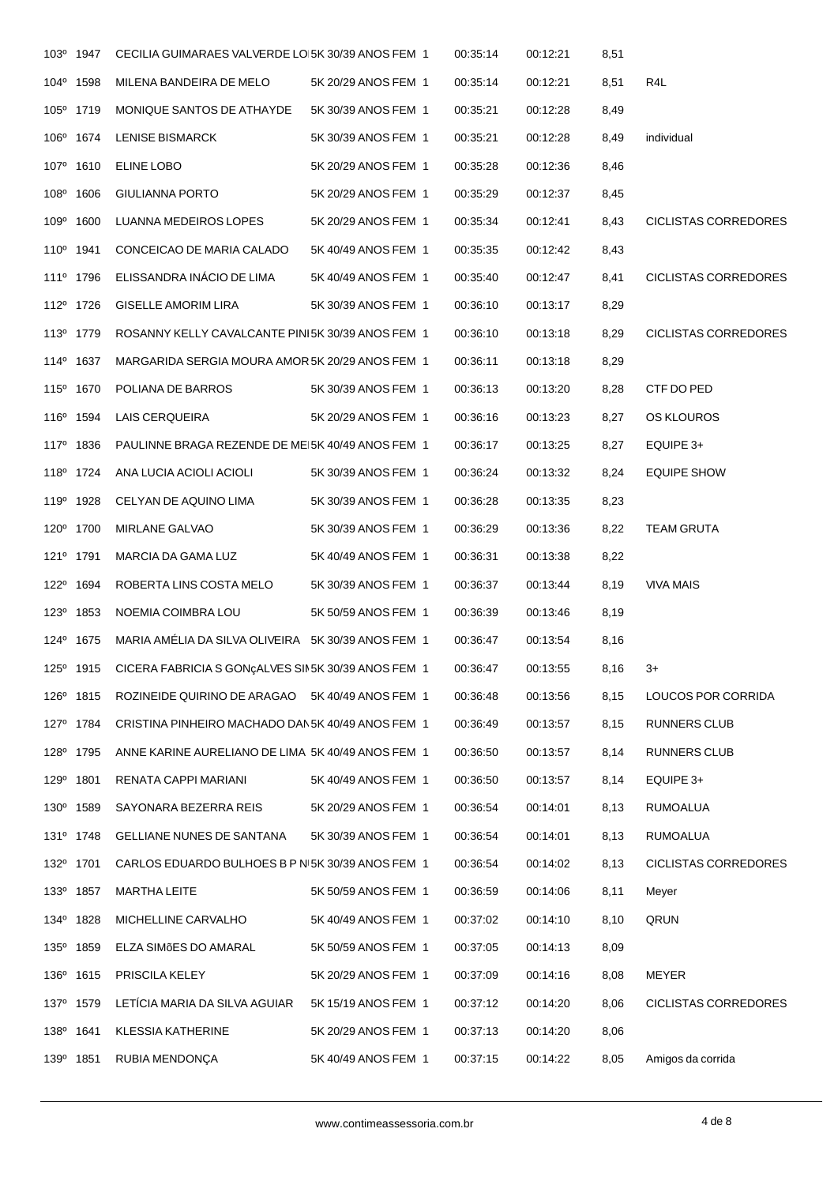| R4L<br>individual<br><b>CICLISTAS CORREDORES</b><br><b>CICLISTAS CORREDORES</b><br><b>CICLISTAS CORREDORES</b><br>CTF DO PED<br>OS KLOUROS<br>EQUIPE 3+<br><b>EQUIPE SHOW</b> |
|-------------------------------------------------------------------------------------------------------------------------------------------------------------------------------|
|                                                                                                                                                                               |
|                                                                                                                                                                               |
|                                                                                                                                                                               |
|                                                                                                                                                                               |
|                                                                                                                                                                               |
|                                                                                                                                                                               |
|                                                                                                                                                                               |
|                                                                                                                                                                               |
|                                                                                                                                                                               |
|                                                                                                                                                                               |
|                                                                                                                                                                               |
|                                                                                                                                                                               |
|                                                                                                                                                                               |
|                                                                                                                                                                               |
|                                                                                                                                                                               |
|                                                                                                                                                                               |
| <b>TEAM GRUTA</b>                                                                                                                                                             |
|                                                                                                                                                                               |
| <b>VIVA MAIS</b>                                                                                                                                                              |
|                                                                                                                                                                               |
|                                                                                                                                                                               |
|                                                                                                                                                                               |
| LOUCOS POR CORRIDA                                                                                                                                                            |
| <b>RUNNERS CLUB</b>                                                                                                                                                           |
| RUNNERS CLUB                                                                                                                                                                  |
| EQUIPE 3+                                                                                                                                                                     |
| <b>RUMOALUA</b>                                                                                                                                                               |
| <b>RUMOALUA</b>                                                                                                                                                               |
|                                                                                                                                                                               |
| <b>CICLISTAS CORREDORES</b>                                                                                                                                                   |
| Meyer                                                                                                                                                                         |
| QRUN                                                                                                                                                                          |
|                                                                                                                                                                               |
| MEYER                                                                                                                                                                         |
| <b>CICLISTAS CORREDORES</b>                                                                                                                                                   |
|                                                                                                                                                                               |
|                                                                                                                                                                               |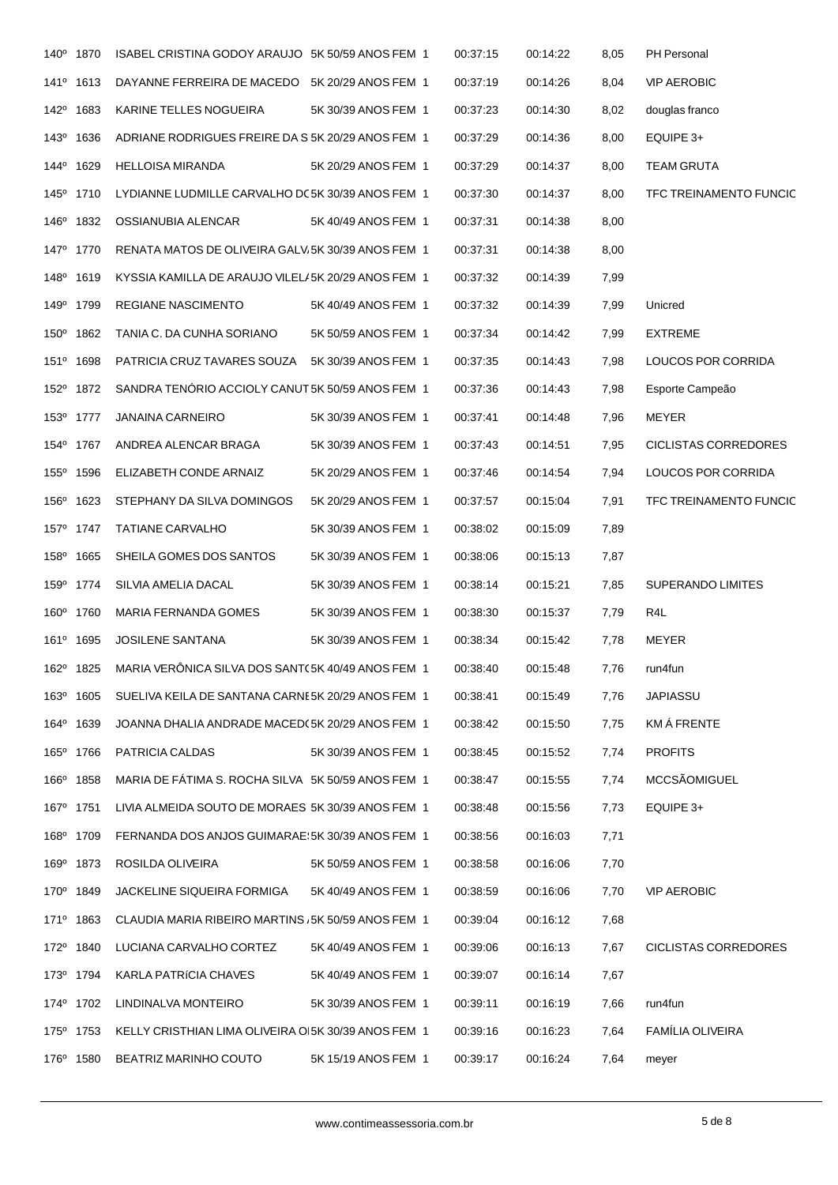|      | 140° 1870             | ISABEL CRISTINA GODOY ARAUJO 5K 50/59 ANOS FEM 1    |                     | 00:37:15 | 00:14:22 | 8,05 | PH Personal              |
|------|-----------------------|-----------------------------------------------------|---------------------|----------|----------|------|--------------------------|
|      | 141 <sup>°</sup> 1613 | DAYANNE FERREIRA DE MACEDO 5K 20/29 ANOS FEM 1      |                     | 00:37:19 | 00:14:26 | 8,04 | <b>VIP AEROBIC</b>       |
|      | 142 <sup>°</sup> 1683 | KARINE TELLES NOGUEIRA                              | 5K 30/39 ANOS FEM 1 | 00:37:23 | 00:14:30 | 8,02 | douglas franco           |
|      | 143 <sup>°</sup> 1636 | ADRIANE RODRIGUES FREIRE DA S 5K 20/29 ANOS FEM 1   |                     | 00:37:29 | 00:14:36 | 8,00 | EQUIPE 3+                |
|      | 144 <sup>°</sup> 1629 | <b>HELLOISA MIRANDA</b>                             | 5K 20/29 ANOS FEM 1 | 00:37:29 | 00:14:37 | 8,00 | <b>TEAM GRUTA</b>        |
|      | 145° 1710             | LYDIANNE LUDMILLE CARVALHO DC5K 30/39 ANOS FEM 1    |                     | 00:37:30 | 00:14:37 | 8,00 | TFC TREINAMENTO FUNCIC   |
|      | 146° 1832             | OSSIANUBIA ALENCAR                                  | 5K 40/49 ANOS FEM 1 | 00:37:31 | 00:14:38 | 8,00 |                          |
|      | 147 <sup>°</sup> 1770 | RENATA MATOS DE OLIVEIRA GALV.5K 30/39 ANOS FEM 1   |                     | 00:37:31 | 00:14:38 | 8,00 |                          |
|      | 148 <sup>0</sup> 1619 | KYSSIA KAMILLA DE ARAUJO VILEL/5K 20/29 ANOS FEM 1  |                     | 00:37:32 | 00:14:39 | 7,99 |                          |
|      | 149 <sup>°</sup> 1799 | REGIANE NASCIMENTO                                  | 5K 40/49 ANOS FEM 1 | 00:37:32 | 00:14:39 | 7,99 | Unicred                  |
|      | 150° 1862             | TANIA C. DA CUNHA SORIANO                           | 5K 50/59 ANOS FEM 1 | 00:37:34 | 00:14:42 | 7,99 | EXTREME                  |
|      | 151º 1698             | PATRICIA CRUZ TAVARES SOUZA 5K 30/39 ANOS FEM 1     |                     | 00:37:35 | 00:14:43 | 7,98 | LOUCOS POR CORRIDA       |
|      | 152 <sup>°</sup> 1872 | SANDRA TENÓRIO ACCIOLY CANUT 5K 50/59 ANOS FEM 1    |                     | 00:37:36 | 00:14:43 | 7,98 | Esporte Campeão          |
|      | 153º 1777             | <b>JANAINA CARNEIRO</b>                             | 5K 30/39 ANOS FEM 1 | 00:37:41 | 00:14:48 | 7,96 | <b>MEYER</b>             |
|      | 154° 1767             | ANDREA ALENCAR BRAGA                                | 5K 30/39 ANOS FEM 1 | 00:37:43 | 00:14:51 | 7,95 | CICLISTAS CORREDORES     |
|      | 155 <sup>°</sup> 1596 | ELIZABETH CONDE ARNAIZ                              | 5K 20/29 ANOS FEM 1 | 00:37:46 | 00:14:54 | 7,94 | LOUCOS POR CORRIDA       |
|      | 156 <sup>°</sup> 1623 | STEPHANY DA SILVA DOMINGOS                          | 5K 20/29 ANOS FEM 1 | 00:37:57 | 00:15:04 | 7,91 | TFC TREINAMENTO FUNCIC   |
|      | 157 <sup>°</sup> 1747 | <b>TATIANE CARVALHO</b>                             | 5K 30/39 ANOS FEM 1 | 00:38:02 | 00:15:09 | 7,89 |                          |
|      | 158 <sup>0</sup> 1665 | SHEILA GOMES DOS SANTOS                             | 5K 30/39 ANOS FEM 1 | 00:38:06 | 00:15:13 | 7,87 |                          |
|      | 159 <sup>°</sup> 1774 | SILVIA AMELIA DACAL                                 | 5K 30/39 ANOS FEM 1 | 00:38:14 | 00:15:21 | 7,85 | <b>SUPERANDO LIMITES</b> |
|      | 160° 1760             | MARIA FERNANDA GOMES                                | 5K 30/39 ANOS FEM 1 | 00:38:30 | 00:15:37 | 7,79 | R4L                      |
|      | 161 <sup>°</sup> 1695 | <b>JOSILENE SANTANA</b>                             | 5K 30/39 ANOS FEM 1 | 00:38:34 | 00:15:42 | 7,78 | <b>MEYER</b>             |
|      | 162 <sup>°</sup> 1825 | MARIA VERÔNICA SILVA DOS SANT(5K 40/49 ANOS FEM 1   |                     | 00:38:40 | 00:15:48 | 7,76 | run4fun                  |
| 163° | 1605                  | SUELIVA KEILA DE SANTANA CARNE5K 20/29 ANOS FEM 1   |                     | 00:38:41 | 00:15:49 | 7,76 | JAPIASSU                 |
|      | 164 <sup>°</sup> 1639 | JOANNA DHALIA ANDRADE MACED (5K 20/29 ANOS FEM 1    |                     | 00:38:42 | 00:15:50 | 7,75 | KMÁ FRENTE               |
|      | 165° 1766             | PATRICIA CALDAS                                     | 5K 30/39 ANOS FEM 1 | 00:38:45 | 00:15:52 | 7,74 | <b>PROFITS</b>           |
|      | 166 <sup>°</sup> 1858 | MARIA DE FÁTIMA S. ROCHA SILVA 5K 50/59 ANOS FEM 1  |                     | 00:38:47 | 00:15:55 | 7,74 | MCCSÃOMIGUEL             |
|      | 167 <sup>°</sup> 1751 | LIVIA ALMEIDA SOUTO DE MORAES 5K 30/39 ANOS FEM 1   |                     | 00:38:48 | 00:15:56 | 7,73 | EQUIPE 3+                |
|      | 168 <sup>°</sup> 1709 | FERNANDA DOS ANJOS GUIMARAE: 5K 30/39 ANOS FEM 1    |                     | 00:38:56 | 00:16:03 | 7,71 |                          |
|      | 169º 1873             | ROSILDA OLIVEIRA                                    | 5K 50/59 ANOS FEM 1 | 00:38:58 | 00:16:06 | 7,70 |                          |
|      | 170° 1849             | JACKELINE SIQUEIRA FORMIGA                          | 5K 40/49 ANOS FEM 1 | 00:38:59 | 00:16:06 | 7,70 | <b>VIP AEROBIC</b>       |
|      | 171 <sup>0</sup> 1863 | CLAUDIA MARIA RIBEIRO MARTINS / 5K 50/59 ANOS FEM 1 |                     | 00:39:04 | 00:16:12 | 7,68 |                          |
|      | 172º 1840             | LUCIANA CARVALHO CORTEZ                             | 5K 40/49 ANOS FEM 1 | 00:39:06 | 00:16:13 | 7,67 | CICLISTAS CORREDORES     |
|      | 173° 1794             | KARLA PATRÍCIA CHAVES                               | 5K 40/49 ANOS FEM 1 | 00:39:07 | 00:16:14 | 7,67 |                          |
|      | 174 <sup>°</sup> 1702 | LINDINALVA MONTEIRO                                 | 5K 30/39 ANOS FEM 1 | 00:39:11 | 00:16:19 | 7,66 | run4fun                  |
|      | 175° 1753             | KELLY CRISTHIAN LIMA OLIVEIRA OI5K 30/39 ANOS FEM 1 |                     | 00:39:16 | 00:16:23 | 7,64 | <b>FAMÍLIA OLIVEIRA</b>  |
|      | 176 <sup>°</sup> 1580 | BEATRIZ MARINHO COUTO                               | 5K 15/19 ANOS FEM 1 | 00:39:17 | 00:16:24 | 7,64 | meyer                    |
|      |                       |                                                     |                     |          |          |      |                          |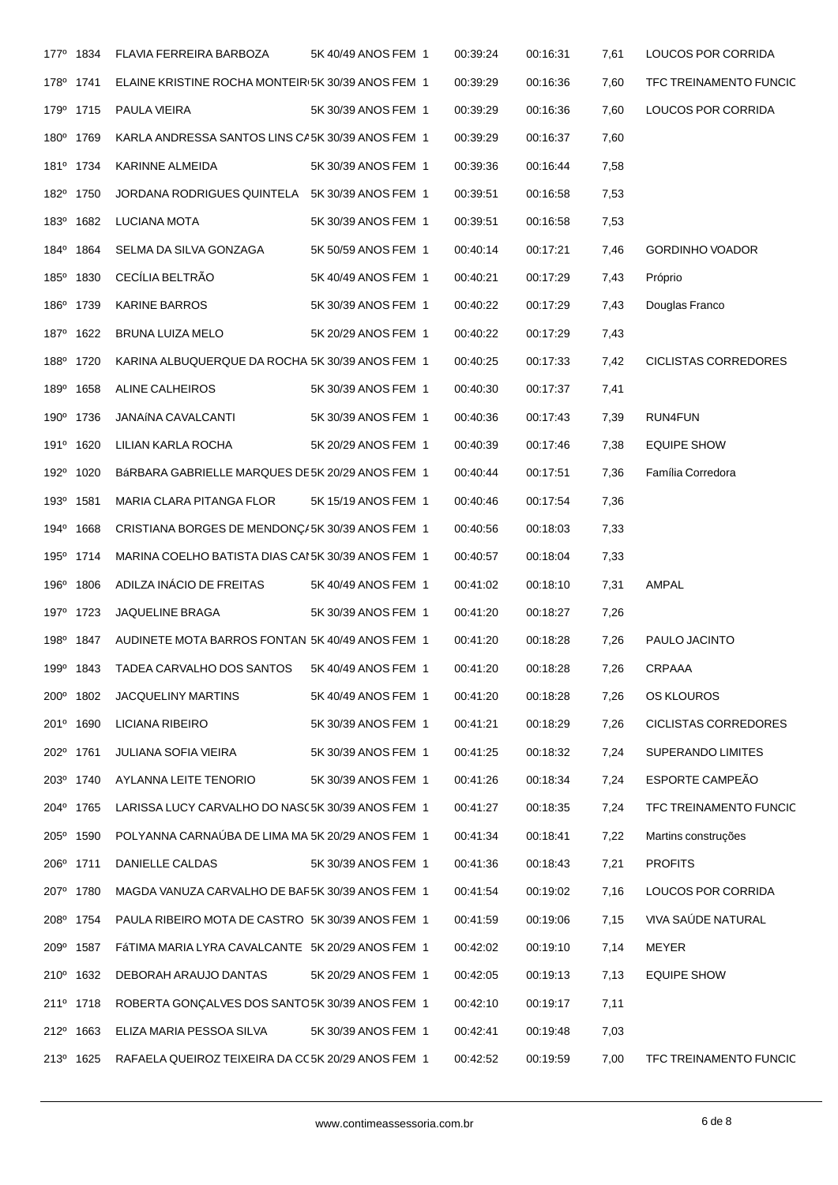|                  | 177 <sup>0</sup> 1834 | FLAVIA FERREIRA BARBOZA                            | 5K 40/49 ANOS FEM 1 | 00:39:24 | 00:16:31 | 7,61 | LOUCOS POR CORRIDA       |
|------------------|-----------------------|----------------------------------------------------|---------------------|----------|----------|------|--------------------------|
|                  | 178 <sup>0</sup> 1741 | ELAINE KRISTINE ROCHA MONTEIR(5K 30/39 ANOS FEM 1  |                     | 00:39:29 | 00:16:36 | 7,60 | TFC TREINAMENTO FUNCIC   |
|                  | 179 <sup>°</sup> 1715 | PAULA VIEIRA                                       | 5K 30/39 ANOS FEM 1 | 00:39:29 | 00:16:36 | 7,60 | LOUCOS POR CORRIDA       |
|                  | 180° 1769             | KARLA ANDRESSA SANTOS LINS CA5K 30/39 ANOS FEM 1   |                     | 00:39:29 | 00:16:37 | 7,60 |                          |
|                  | 181 <sup>°</sup> 1734 | KARINNE ALMEIDA                                    | 5K 30/39 ANOS FEM 1 | 00:39:36 | 00:16:44 | 7,58 |                          |
|                  | 182º 1750             | JORDANA RODRIGUES QUINTELA 5K 30/39 ANOS FEM 1     |                     | 00:39:51 | 00:16:58 | 7,53 |                          |
|                  | 183º 1682             | LUCIANA MOTA                                       | 5K 30/39 ANOS FEM 1 | 00:39:51 | 00:16:58 | 7,53 |                          |
|                  | 184 <sup>°</sup> 1864 | SELMA DA SILVA GONZAGA                             | 5K 50/59 ANOS FEM 1 | 00:40:14 | 00:17:21 | 7,46 | <b>GORDINHO VOADOR</b>   |
|                  | 185 <sup>°</sup> 1830 | CECÍLIA BELTRÃO                                    | 5K 40/49 ANOS FEM 1 | 00:40:21 | 00:17:29 | 7,43 | Próprio                  |
|                  | 186 <sup>°</sup> 1739 | <b>KARINE BARROS</b>                               | 5K 30/39 ANOS FEM 1 | 00:40:22 | 00:17:29 | 7,43 | Douglas Franco           |
|                  | 187º 1622             | BRUNA LUIZA MELO                                   | 5K 20/29 ANOS FEM 1 | 00:40:22 | 00:17:29 | 7,43 |                          |
|                  | 188º 1720             | KARINA ALBUQUERQUE DA ROCHA 5K 30/39 ANOS FEM 1    |                     | 00:40:25 | 00:17:33 | 7,42 | CICLISTAS CORREDORES     |
|                  | 189 <sup>°</sup> 1658 | ALINE CALHEIROS                                    | 5K 30/39 ANOS FEM 1 | 00:40:30 | 00:17:37 | 7,41 |                          |
|                  | 190 <sup>°</sup> 1736 | JANAÍNA CAVALCANTI                                 | 5K 30/39 ANOS FEM 1 | 00:40:36 | 00:17:43 | 7,39 | RUN4FUN                  |
|                  | 191 <sup>°</sup> 1620 | LILIAN KARLA ROCHA                                 | 5K 20/29 ANOS FEM 1 | 00:40:39 | 00:17:46 | 7,38 | <b>EQUIPE SHOW</b>       |
|                  | 192º 1020             | BÁRBARA GABRIELLE MARQUES DE5K 20/29 ANOS FEM 1    |                     | 00:40:44 | 00:17:51 | 7,36 | Família Corredora        |
|                  | 193 <sup>0</sup> 1581 | MARIA CLARA PITANGA FLOR                           | 5K 15/19 ANOS FEM 1 | 00:40:46 | 00:17:54 | 7,36 |                          |
|                  | 194 <sup>°</sup> 1668 | CRISTIANA BORGES DE MENDONÇ/5K 30/39 ANOS FEM 1    |                     | 00:40:56 | 00:18:03 | 7,33 |                          |
|                  | 195 <sup>°</sup> 1714 | MARINA COELHO BATISTA DIAS CAI 5K 30/39 ANOS FEM 1 |                     | 00:40:57 | 00:18:04 | 7,33 |                          |
|                  | 196 <sup>°</sup> 1806 | ADILZA INÁCIO DE FREITAS                           | 5K 40/49 ANOS FEM 1 | 00:41:02 | 00:18:10 | 7,31 | AMPAL                    |
|                  | 197 <sup>0</sup> 1723 | JAQUELINE BRAGA                                    | 5K 30/39 ANOS FEM 1 | 00:41:20 | 00:18:27 | 7,26 |                          |
|                  | 198 <sup>0</sup> 1847 | AUDINETE MOTA BARROS FONTAN 5K 40/49 ANOS FEM 1    |                     | 00:41:20 | 00:18:28 | 7,26 | PAULO JACINTO            |
|                  | 199 <sup>°</sup> 1843 | TADEA CARVALHO DOS SANTOS                          | 5K 40/49 ANOS FEM 1 | 00:41:20 | 00:18:28 | 7,26 | CRPAAA                   |
| 200°             | 1802                  | <b>JACQUELINY MARTINS</b>                          | 5K 40/49 ANOS FEM 1 | 00:41:20 | 00:18:28 | 7,26 | OS KLOUROS               |
|                  | 201º 1690             | LICIANA RIBEIRO                                    | 5K 30/39 ANOS FEM 1 | 00:41:21 | 00:18:29 | 7,26 | CICLISTAS CORREDORES     |
| 202 <sup>°</sup> | 1761                  | JULIANA SOFIA VIEIRA                               | 5K 30/39 ANOS FEM 1 | 00:41:25 | 00:18:32 | 7,24 | <b>SUPERANDO LIMITES</b> |
|                  | 203º 1740             | AYLANNA LEITE TENORIO                              | 5K 30/39 ANOS FEM 1 | 00:41:26 | 00:18:34 | 7,24 | ESPORTE CAMPEÃO          |
|                  | 204° 1765             | LARISSA LUCY CARVALHO DO NASC5K 30/39 ANOS FEM 1   |                     | 00:41:27 | 00:18:35 | 7,24 | TFC TREINAMENTO FUNCIC   |
|                  | 205° 1590             | POLYANNA CARNAÚBA DE LIMA MA 5K 20/29 ANOS FEM 1   |                     | 00:41:34 | 00:18:41 | 7,22 | Martins construções      |
|                  | 206 <sup>°</sup> 1711 | DANIELLE CALDAS                                    | 5K 30/39 ANOS FEM 1 | 00:41:36 | 00:18:43 | 7,21 | <b>PROFITS</b>           |
|                  | 207º 1780             | MAGDA VANUZA CARVALHO DE BAR5K 30/39 ANOS FEM 1    |                     | 00:41:54 | 00:19:02 | 7,16 | LOUCOS POR CORRIDA       |
|                  | 208º 1754             | PAULA RIBEIRO MOTA DE CASTRO 5K 30/39 ANOS FEM 1   |                     | 00:41:59 | 00:19:06 | 7,15 | VIVA SAÚDE NATURAL       |
|                  | 209 <sup>°</sup> 1587 | FÁTIMA MARIA LYRA CAVALCANTE 5K 20/29 ANOS FEM 1   |                     | 00:42:02 | 00:19:10 | 7,14 | <b>MEYER</b>             |
|                  | 210° 1632             | DEBORAH ARAUJO DANTAS                              | 5K 20/29 ANOS FEM 1 | 00:42:05 | 00:19:13 | 7,13 | <b>EQUIPE SHOW</b>       |
|                  | 211º 1718             | ROBERTA GONÇALVES DOS SANTO 5K 30/39 ANOS FEM 1    |                     | 00:42:10 | 00:19:17 | 7,11 |                          |
| 212 <sup>°</sup> | 1663                  | ELIZA MARIA PESSOA SILVA                           | 5K 30/39 ANOS FEM 1 | 00:42:41 | 00:19:48 | 7,03 |                          |
|                  | 213° 1625             | RAFAELA QUEIROZ TEIXEIRA DA CC5K 20/29 ANOS FEM 1  |                     | 00:42:52 | 00:19:59 | 7,00 | TFC TREINAMENTO FUNCIC   |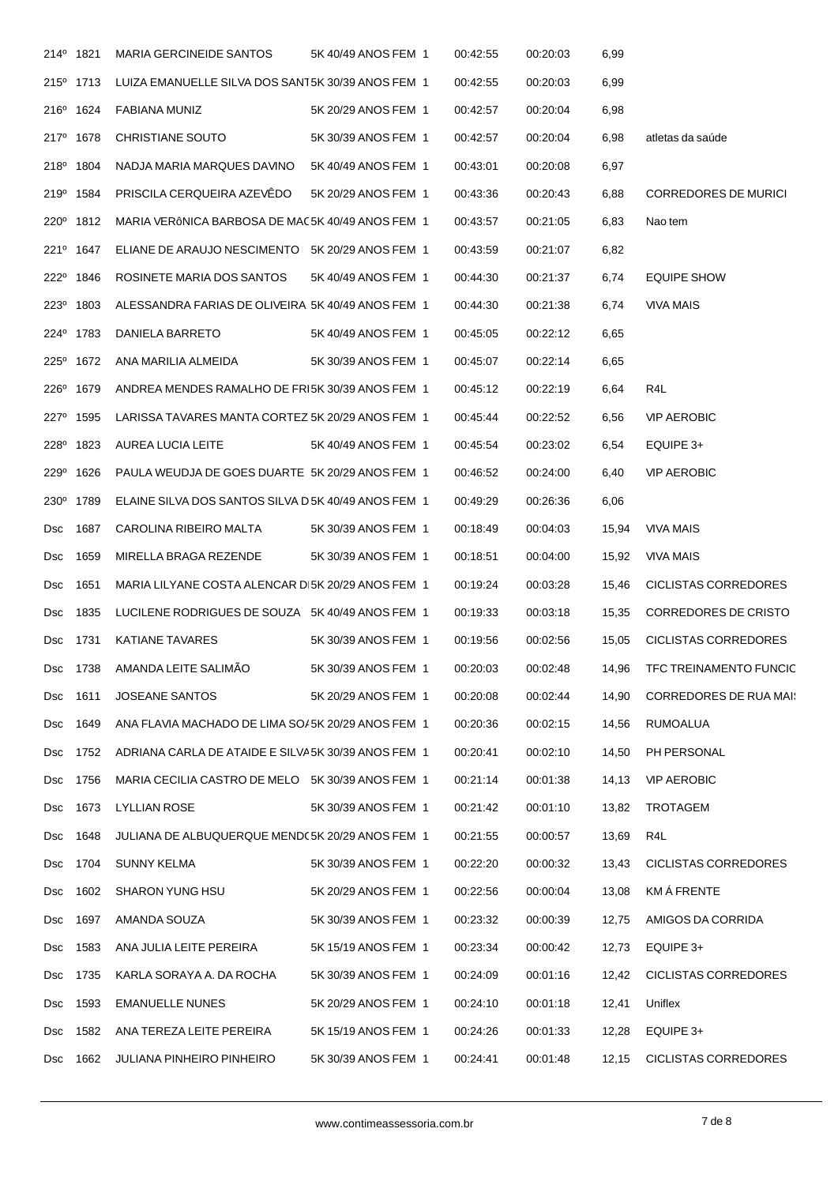| 214 <sup>°</sup> | 1821                  | <b>MARIA GERCINEIDE SANTOS</b>                      | 5K 40/49 ANOS FEM 1 | 00:42:55 | 00:20:03 | 6,99  |                               |
|------------------|-----------------------|-----------------------------------------------------|---------------------|----------|----------|-------|-------------------------------|
|                  | 215° 1713             | LUIZA EMANUELLE SILVA DOS SANT5K 30/39 ANOS FEM 1   |                     | 00:42:55 | 00:20:03 | 6,99  |                               |
| 216°             | 1624                  | <b>FABIANA MUNIZ</b>                                | 5K 20/29 ANOS FEM 1 | 00:42:57 | 00:20:04 | 6,98  |                               |
| 217 <sup>°</sup> | 1678                  | CHRISTIANE SOUTO                                    | 5K 30/39 ANOS FEM 1 | 00:42:57 | 00:20:04 | 6,98  | atletas da saúde              |
|                  | 218 <sup>°</sup> 1804 | NADJA MARIA MARQUES DAVINO                          | 5K 40/49 ANOS FEM 1 | 00:43:01 | 00:20:08 | 6,97  |                               |
| 219°             | 1584                  | PRISCILA CERQUEIRA AZEVÊDO                          | 5K 20/29 ANOS FEM 1 | 00:43:36 | 00:20:43 | 6,88  | <b>CORREDORES DE MURICI</b>   |
| 220 <sup>°</sup> | 1812                  | MARIA VERÔNICA BARBOSA DE MAC5K 40/49 ANOS FEM 1    |                     | 00:43:57 | 00:21:05 | 6,83  | Nao tem                       |
|                  | 221° 1647             | ELIANE DE ARAUJO NESCIMENTO 5K 20/29 ANOS FEM 1     |                     | 00:43:59 | 00:21:07 | 6,82  |                               |
| 222 <sup>o</sup> | 1846                  | ROSINETE MARIA DOS SANTOS                           | 5K 40/49 ANOS FEM 1 | 00:44:30 | 00:21:37 | 6,74  | <b>EQUIPE SHOW</b>            |
| 223 <sup>°</sup> | 1803                  | ALESSANDRA FARIAS DE OLIVEIRA 5K 40/49 ANOS FEM 1   |                     | 00:44:30 | 00:21:38 | 6,74  | <b>VIVA MAIS</b>              |
|                  | 224° 1783             | DANIELA BARRETO                                     | 5K 40/49 ANOS FEM 1 | 00:45:05 | 00:22:12 | 6,65  |                               |
|                  | 225° 1672             | ANA MARILIA ALMEIDA                                 | 5K 30/39 ANOS FEM 1 | 00:45:07 | 00:22:14 | 6,65  |                               |
| 226 <sup>°</sup> | 1679                  | ANDREA MENDES RAMALHO DE FRI5K 30/39 ANOS FEM 1     |                     | 00:45:12 | 00:22:19 | 6,64  | R4L                           |
| 227 <sup>°</sup> | 1595                  | LARISSA TAVARES MANTA CORTEZ 5K 20/29 ANOS FEM 1    |                     | 00:45:44 | 00:22:52 | 6,56  | <b>VIP AEROBIC</b>            |
|                  | 228 <sup>0</sup> 1823 | AUREA LUCIA LEITE                                   | 5K 40/49 ANOS FEM 1 | 00:45:54 | 00:23:02 | 6,54  | EQUIPE 3+                     |
| 229 <sup>°</sup> | 1626                  | PAULA WEUDJA DE GOES DUARTE 5K 20/29 ANOS FEM 1     |                     | 00:46:52 | 00:24:00 | 6,40  | <b>VIP AEROBIC</b>            |
| $230^\circ$      | 1789                  | ELAINE SILVA DOS SANTOS SILVA D 5K 40/49 ANOS FEM 1 |                     | 00:49:29 | 00:26:36 | 6,06  |                               |
| Dsc              | 1687                  | CAROLINA RIBEIRO MALTA                              | 5K 30/39 ANOS FEM 1 | 00:18:49 | 00:04:03 | 15,94 | <b>VIVA MAIS</b>              |
| <b>Dsc</b>       | 1659                  | MIRELLA BRAGA REZENDE                               | 5K 30/39 ANOS FEM 1 | 00:18:51 | 00:04:00 | 15,92 | <b>VIVA MAIS</b>              |
| <b>Dsc</b>       | 1651                  | MARIA LILYANE COSTA ALENCAR DI5K 20/29 ANOS FEM 1   |                     | 00:19:24 | 00:03:28 | 15,46 | CICLISTAS CORREDORES          |
| Dsc              | 1835                  | LUCILENE RODRIGUES DE SOUZA 5K 40/49 ANOS FEM 1     |                     | 00:19:33 | 00:03:18 | 15,35 | <b>CORREDORES DE CRISTO</b>   |
| Dsc              | 1731                  | <b>KATIANE TAVARES</b>                              | 5K 30/39 ANOS FEM 1 | 00:19:56 | 00:02:56 | 15,05 | <b>CICLISTAS CORREDORES</b>   |
| Dsc              | 1738                  | AMANDA LEITE SALIMÃO                                | 5K 30/39 ANOS FEM 1 | 00:20:03 | 00:02:48 | 14,96 | <b>TFC TREINAMENTO FUNCIC</b> |
| <b>Dsc</b>       | 1611                  | <b>JOSEANE SANTOS</b>                               | 5K 20/29 ANOS FEM 1 | 00:20:08 | 00:02:44 | 14,90 | <b>CORREDORES DE RUA MAIS</b> |
| <b>Dsc</b>       | 1649                  | ANA FLAVIA MACHADO DE LIMA SO/5K 20/29 ANOS FEM 1   |                     | 00:20:36 | 00:02:15 | 14,56 | RUMOALUA                      |
| <b>Dsc</b>       | 1752                  | ADRIANA CARLA DE ATAIDE E SILVA5K 30/39 ANOS FEM 1  |                     | 00:20:41 | 00:02:10 | 14,50 | PH PERSONAL                   |
| <b>Dsc</b>       | 1756                  | MARIA CECILIA CASTRO DE MELO 5K 30/39 ANOS FEM 1    |                     | 00:21:14 | 00:01:38 | 14,13 | <b>VIP AEROBIC</b>            |
| <b>Dsc</b>       | 1673                  | <b>LYLLIAN ROSE</b>                                 | 5K 30/39 ANOS FEM 1 | 00:21:42 | 00:01:10 | 13,82 | <b>TROTAGEM</b>               |
| <b>Dsc</b>       | 1648                  | JULIANA DE ALBUQUERQUE MEND(5K 20/29 ANOS FEM 1     |                     | 00:21:55 | 00:00:57 | 13,69 | R4L                           |
| <b>Dsc</b>       | 1704                  | <b>SUNNY KELMA</b>                                  | 5K 30/39 ANOS FEM 1 | 00:22:20 | 00:00:32 | 13,43 | CICLISTAS CORREDORES          |
| <b>Dsc</b>       | 1602                  | <b>SHARON YUNG HSU</b>                              | 5K 20/29 ANOS FEM 1 | 00:22:56 | 00:00:04 | 13,08 | <b>KMÁ FRENTE</b>             |
| <b>Dsc</b>       | 1697                  | AMANDA SOUZA                                        | 5K 30/39 ANOS FEM 1 | 00:23:32 | 00:00:39 | 12,75 | AMIGOS DA CORRIDA             |
| <b>Dsc</b>       | 1583                  | ANA JULIA LEITE PEREIRA                             | 5K 15/19 ANOS FEM 1 | 00:23:34 | 00:00:42 | 12,73 | EQUIPE 3+                     |
| <b>Dsc</b>       | 1735                  | KARLA SORAYA A. DA ROCHA                            | 5K 30/39 ANOS FEM 1 | 00:24:09 | 00:01:16 | 12,42 | CICLISTAS CORREDORES          |
| <b>Dsc</b>       | 1593                  | <b>EMANUELLE NUNES</b>                              | 5K 20/29 ANOS FEM 1 | 00:24:10 | 00:01:18 | 12,41 | Uniflex                       |
| <b>Dsc</b>       | 1582                  | ANA TEREZA LEITE PEREIRA                            | 5K 15/19 ANOS FEM 1 | 00:24:26 | 00:01:33 | 12,28 | EQUIPE 3+                     |
| <b>Dsc</b>       | 1662                  | <b>JULIANA PINHEIRO PINHEIRO</b>                    | 5K 30/39 ANOS FEM 1 | 00:24:41 | 00:01:48 | 12,15 | <b>CICLISTAS CORREDORES</b>   |